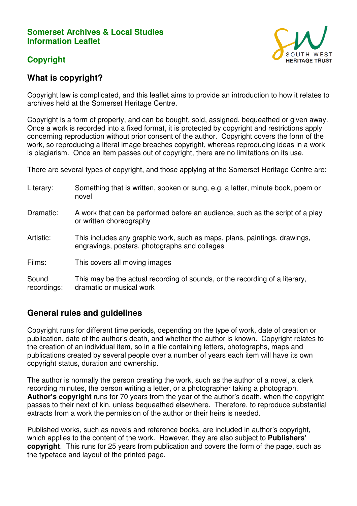### **Somerset Archives & Local Studies Information Leaflet**

# **Copyright**



# **What is copyright?**

Copyright law is complicated, and this leaflet aims to provide an introduction to how it relates to archives held at the Somerset Heritage Centre.

Copyright is a form of property, and can be bought, sold, assigned, bequeathed or given away. Once a work is recorded into a fixed format, it is protected by copyright and restrictions apply concerning reproduction without prior consent of the author. Copyright covers the form of the work, so reproducing a literal image breaches copyright, whereas reproducing ideas in a work is plagiarism. Once an item passes out of copyright, there are no limitations on its use.

There are several types of copyright, and those applying at the Somerset Heritage Centre are:

| Literary:            | Something that is written, spoken or sung, e.g. a letter, minute book, poem or<br>novel                                    |
|----------------------|----------------------------------------------------------------------------------------------------------------------------|
| Dramatic:            | A work that can be performed before an audience, such as the script of a play<br>or written choreography                   |
| Artistic:            | This includes any graphic work, such as maps, plans, paintings, drawings,<br>engravings, posters, photographs and collages |
| Films:               | This covers all moving images                                                                                              |
| Sound<br>recordings: | This may be the actual recording of sounds, or the recording of a literary,<br>dramatic or musical work                    |

### **General rules and guidelines**

Copyright runs for different time periods, depending on the type of work, date of creation or publication, date of the author's death, and whether the author is known. Copyright relates to the creation of an individual item, so in a file containing letters, photographs, maps and publications created by several people over a number of years each item will have its own copyright status, duration and ownership.

The author is normally the person creating the work, such as the author of a novel, a clerk recording minutes, the person writing a letter, or a photographer taking a photograph. **Author's copyright** runs for 70 years from the year of the author's death, when the copyright passes to their next of kin, unless bequeathed elsewhere. Therefore, to reproduce substantial extracts from a work the permission of the author or their heirs is needed.

Published works, such as novels and reference books, are included in author's copyright, which applies to the content of the work. However, they are also subject to **Publishers' copyright**. This runs for 25 years from publication and covers the form of the page, such as the typeface and layout of the printed page.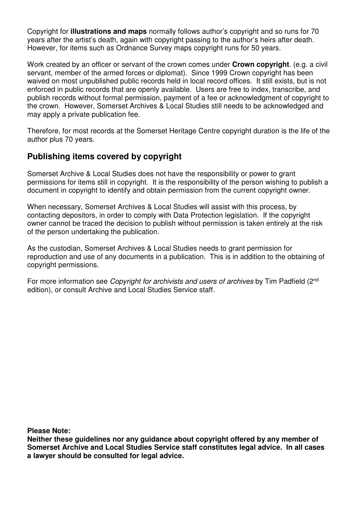Copyright for **illustrations and maps** normally follows author's copyright and so runs for 70 years after the artist's death, again with copyright passing to the author's heirs after death. However, for items such as Ordnance Survey maps copyright runs for 50 years.

Work created by an officer or servant of the crown comes under **Crown copyright**. (e.g. a civil servant, member of the armed forces or diplomat). Since 1999 Crown copyright has been waived on most unpublished public records held in local record offices. It still exists, but is not enforced in public records that are openly available. Users are free to index, transcribe, and publish records without formal permission, payment of a fee or acknowledgment of copyright to the crown. However, Somerset Archives & Local Studies still needs to be acknowledged and may apply a private publication fee.

Therefore, for most records at the Somerset Heritage Centre copyright duration is the life of the author plus 70 years.

# **Publishing items covered by copyright**

Somerset Archive & Local Studies does not have the responsibility or power to grant permissions for items still in copyright. It is the responsibility of the person wishing to publish a document in copyright to identify and obtain permission from the current copyright owner.

When necessary, Somerset Archives & Local Studies will assist with this process, by contacting depositors, in order to comply with Data Protection legislation. If the copyright owner cannot be traced the decision to publish without permission is taken entirely at the risk of the person undertaking the publication.

As the custodian, Somerset Archives & Local Studies needs to grant permission for reproduction and use of any documents in a publication. This is in addition to the obtaining of copyright permissions.

For more information see *Copyright for archivists and users of archives* by Tim Padfield (2<sup>nd</sup>) edition), or consult Archive and Local Studies Service staff.

**Please Note:** 

**Neither these guidelines nor any guidance about copyright offered by any member of Somerset Archive and Local Studies Service staff constitutes legal advice. In all cases a lawyer should be consulted for legal advice.**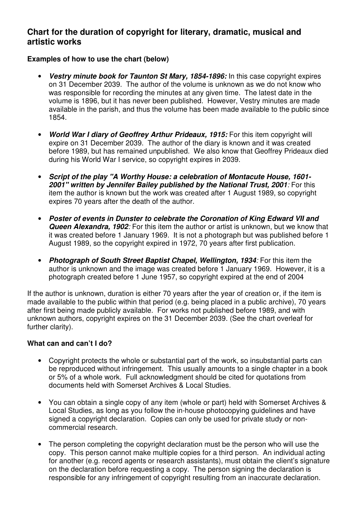### **Chart for the duration of copyright for literary, dramatic, musical and artistic works**

#### **Examples of how to use the chart (below)**

- **Vestry minute book for Taunton St Mary, 1854-1896:** In this case copyright expires on 31 December 2039. The author of the volume is unknown as we do not know who was responsible for recording the minutes at any given time. The latest date in the volume is 1896, but it has never been published. However, Vestry minutes are made available in the parish, and thus the volume has been made available to the public since 1854.
- **World War I diary of Geoffrey Arthur Prideaux, 1915:** For this item copyright will expire on 31 December 2039. The author of the diary is known and it was created before 1989, but has remained unpublished. We also know that Geoffrey Prideaux died during his World War I service, so copyright expires in 2039.
- **Script of the play "A Worthy House: a celebration of Montacute House, 1601- 2001" written by Jennifer Bailey published by the National Trust, 2001**: For this item the author is known but the work was created after 1 August 1989, so copyright expires 70 years after the death of the author.
- **Poster of events in Dunster to celebrate the Coronation of King Edward VII and Queen Alexandra, 1902**: For this item the author or artist is unknown, but we know that it was created before 1 January 1969. It is not a photograph but was published before 1 August 1989, so the copyright expired in 1972, 70 years after first publication.
- **Photograph of South Street Baptist Chapel, Wellington, 1934**: For this item the author is unknown and the image was created before 1 January 1969. However, it is a photograph created before 1 June 1957, so copyright expired at the end of 2004

If the author is unknown, duration is either 70 years after the year of creation or, if the item is made available to the public within that period (e.g. being placed in a public archive), 70 years after first being made publicly available. For works not published before 1989, and with unknown authors, copyright expires on the 31 December 2039. (See the chart overleaf for further clarity).

#### **What can and can't I do?**

- Copyright protects the whole or substantial part of the work, so insubstantial parts can be reproduced without infringement. This usually amounts to a single chapter in a book or 5% of a whole work. Full acknowledgment should be cited for quotations from documents held with Somerset Archives & Local Studies.
- You can obtain a single copy of any item (whole or part) held with Somerset Archives & Local Studies, as long as you follow the in-house photocopying guidelines and have signed a copyright declaration. Copies can only be used for private study or noncommercial research.
- The person completing the copyright declaration must be the person who will use the copy. This person cannot make multiple copies for a third person. An individual acting for another (e.g. record agents or research assistants), must obtain the client's signature on the declaration before requesting a copy. The person signing the declaration is responsible for any infringement of copyright resulting from an inaccurate declaration.